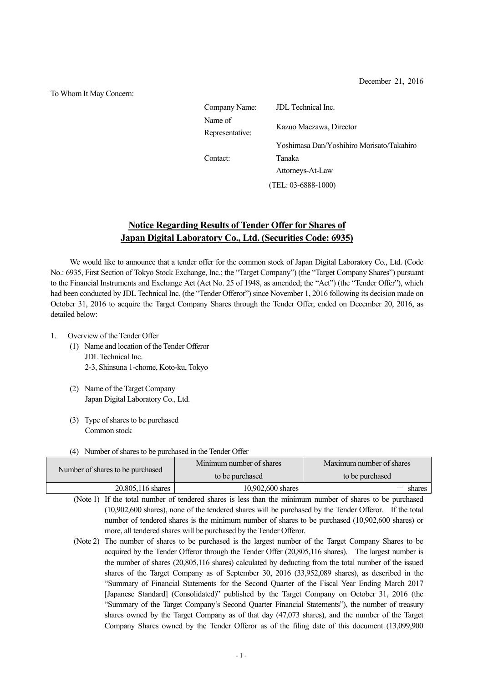December 21, 2016

To Whom It May Concern:

| Company Name:   | JDL Technical Inc.                        |  |  |
|-----------------|-------------------------------------------|--|--|
| Name of         |                                           |  |  |
| Representative: | Kazuo Maezawa, Director                   |  |  |
|                 | Yoshimasa Dan/Yoshihiro Morisato/Takahiro |  |  |
| Contact:        | Tanaka                                    |  |  |
|                 | Attorneys-At-Law                          |  |  |
|                 | $(TEL: 03-6888-1000)$                     |  |  |

## **Notice Regarding Results of Tender Offer for Shares of Japan Digital Laboratory Co., Ltd. (Securities Code: 6935)**

We would like to announce that a tender offer for the common stock of Japan Digital Laboratory Co., Ltd. (Code No.: 6935, First Section of Tokyo Stock Exchange, Inc.; the "Target Company") (the "Target Company Shares") pursuant to the Financial Instruments and Exchange Act (Act No. 25 of 1948, as amended; the "Act") (the "Tender Offer"), which had been conducted by JDL Technical Inc. (the "Tender Offeror") since November 1, 2016 following its decision made on October 31, 2016 to acquire the Target Company Shares through the Tender Offer, ended on December 20, 2016, as detailed below:

- 1. Overview of the Tender Offer
	- (1) Name and location of the Tender Offeror JDL Technical Inc. 2-3, Shinsuna 1-chome, Koto-ku, Tokyo
	- (2) Name of the Target Company Japan Digital Laboratory Co., Ltd.
	- (3) Type of shares to be purchased Common stock
	- (4) Number of shares to be purchased in the Tender Offer

|                                  | Minimum number of shares | Maximum number of shares |  |
|----------------------------------|--------------------------|--------------------------|--|
| Number of shares to be purchased | to be purchased          | to be purchased          |  |
| 20,805,116 shares                | 10,902,600 shares        | - shares                 |  |

- (Note 1) If the total number of tendered shares is less than the minimum number of shares to be purchased (10,902,600 shares), none of the tendered shares will be purchased by the Tender Offeror. If the total number of tendered shares is the minimum number of shares to be purchased (10,902,600 shares) or more, all tendered shares will be purchased by the Tender Offeror.
- (Note 2) The number of shares to be purchased is the largest number of the Target Company Shares to be acquired by the Tender Offeror through the Tender Offer (20,805,116 shares). The largest number is the number of shares (20,805,116 shares) calculated by deducting from the total number of the issued shares of the Target Company as of September 30, 2016 (33,952,089 shares), as described in the "Summary of Financial Statements for the Second Quarter of the Fiscal Year Ending March 2017 [Japanese Standard] (Consolidated)" published by the Target Company on October 31, 2016 (the "Summary of the Target Company's Second Quarter Financial Statements"), the number of treasury shares owned by the Target Company as of that day (47,073 shares), and the number of the Target Company Shares owned by the Tender Offeror as of the filing date of this document (13,099,900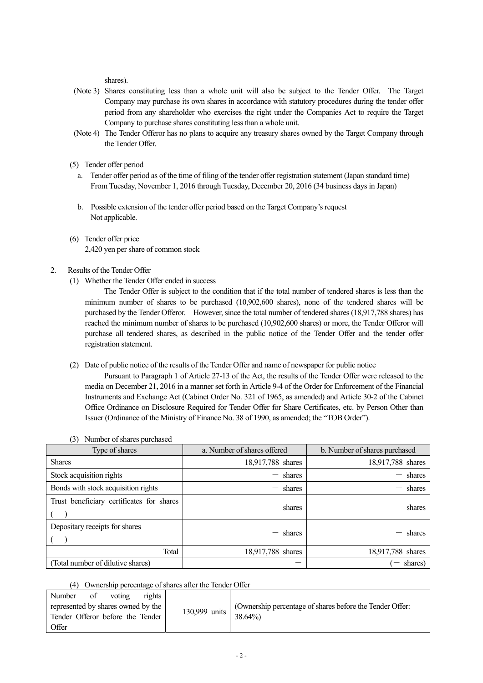shares).

- (Note 3) Shares constituting less than a whole unit will also be subject to the Tender Offer. The Target Company may purchase its own shares in accordance with statutory procedures during the tender offer period from any shareholder who exercises the right under the Companies Act to require the Target Company to purchase shares constituting less than a whole unit.
- (Note 4) The Tender Offeror has no plans to acquire any treasury shares owned by the Target Company through the Tender Offer.
- (5) Tender offer period
	- a. Tender offer period as of the time of filing of the tender offer registration statement (Japan standard time) From Tuesday, November 1, 2016 through Tuesday, December 20, 2016 (34 business days in Japan)
	- b. Possible extension of the tender offer period based on the Target Company's request Not applicable.
- (6) Tender offer price 2,420 yen per share of common stock
- 2. Results of the Tender Offer
	- (1) Whether the Tender Offer ended in success

The Tender Offer is subject to the condition that if the total number of tendered shares is less than the minimum number of shares to be purchased (10,902,600 shares), none of the tendered shares will be purchased by the Tender Offeror. However, since the total number of tendered shares (18,917,788 shares) has reached the minimum number of shares to be purchased (10,902,600 shares) or more, the Tender Offeror will purchase all tendered shares, as described in the public notice of the Tender Offer and the tender offer registration statement.

(2) Date of public notice of the results of the Tender Offer and name of newspaper for public notice

Pursuant to Paragraph 1 of Article 27-13 of the Act, the results of the Tender Offer were released to the media on December 21, 2016 in a manner set forth in Article 9-4 of the Order for Enforcement of the Financial Instruments and Exchange Act (Cabinet Order No. 321 of 1965, as amended) and Article 30-2 of the Cabinet Office Ordinance on Disclosure Required for Tender Offer for Share Certificates, etc. by Person Other than Issuer (Ordinance of the Ministry of Finance No. 38 of 1990, as amended; the "TOB Order").

| Type of shares                            | a. Number of shares offered | b. Number of shares purchased |  |
|-------------------------------------------|-----------------------------|-------------------------------|--|
| <b>Shares</b>                             | 18,917,788 shares           | 18,917,788 shares             |  |
| Stock acquisition rights                  | shares                      | shares                        |  |
| Bonds with stock acquisition rights       | shares                      | shares                        |  |
| Trust beneficiary certificates for shares | shares                      | shares                        |  |
|                                           |                             |                               |  |
| Depositary receipts for shares            | shares                      | shares                        |  |
|                                           |                             |                               |  |
| Total                                     | 18,917,788 shares           | 18,917,788 shares             |  |
| (Total number of dilutive shares)         |                             | shares)                       |  |

(3) Number of shares purchased

## (4) Ownership percentage of shares after the Tender Offer

| Number                             | of | voting | rights |               |                                                          |
|------------------------------------|----|--------|--------|---------------|----------------------------------------------------------|
| represented by shares owned by the |    |        |        | 130,999 units | (Ownership percentage of shares before the Tender Offer: |
| Tender Offeror before the Tender   |    |        |        |               | $38.64\%$                                                |
| Offer                              |    |        |        |               |                                                          |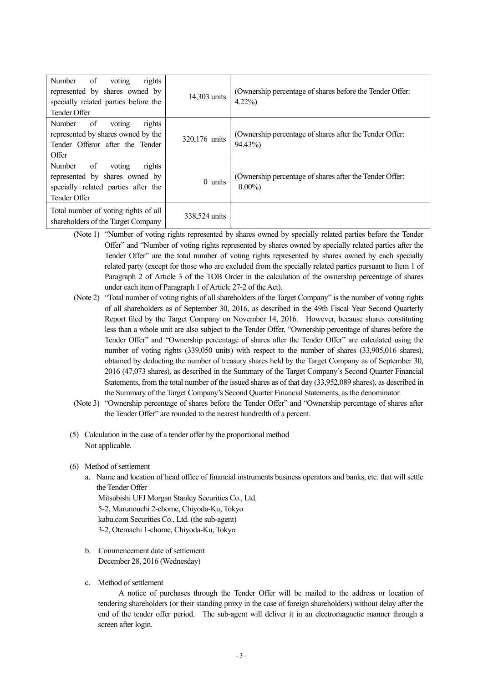| of<br>rights<br>Number<br>voting<br>represented by shares owned by<br>specially related parties before the<br>Tender Offer | 14,303 units  | (Ownership percentage of shares before the Tender Offer:<br>$4.22\%$ |
|----------------------------------------------------------------------------------------------------------------------------|---------------|----------------------------------------------------------------------|
| of<br>rights<br>Number<br>voting<br>represented by shares owned by the<br>Tender Offeror after the Tender<br>Offer         | 320,176 units | (Ownership percentage of shares after the Tender Offer:<br>94.43%)   |
| of<br>Number<br>rights<br>voting<br>represented by shares owned by<br>specially related parties after the<br>Tender Offer  | 0 units       | (Ownership percentage of shares after the Tender Offer:<br>$0.00\%$  |
| Total number of voting rights of all<br>shareholders of the Target Company                                                 | 338,524 units |                                                                      |

- (Note 1) "Number of voting rights represented by shares owned by specially related parties before the Tender Offer" and "Number of voting rights represented by shares owned by specially related parties after the Tender Offer" are the total number of voting rights represented by shares owned by each specially related party (except for those who are excluded from the specially related parties pursuant to Item 1 of Paragraph 2 of Article 3 of the TOB Order in the calculation of the ownership percentage of shares under each item of Paragraph 1 of Article 27-2 of the Act).
- (Note 2) "Total number of voting rights of all shareholders of the Target Company" is the number of voting rights of all shareholders as of September 30, 2016, as described in the 49th Fiscal Year Second Quarterly Report filed by the Target Company on November 14, 2016. However, because shares constituting less than a whole unit are also subject to the Tender Offer, "Ownership percentage of shares before the Tender Offer" and "Ownership percentage of shares after the Tender Offer" are calculated using the number of voting rights (339,050 units) with respect to the number of shares (33,905,016 shares), obtained by deducting the number of treasury shares held by the Target Company as of September 30, 2016 (47,073 shares), as described in the Summary of the Target Company's Second Quarter Financial Statements, from the total number of the issued shares as of that day (33,952,089 shares), as described in the Summary of the Target Company's Second Quarter Financial Statements, as the denominator.
- (Note 3) "Ownership percentage of shares before the Tender Offer" and "Ownership percentage of shares after the Tender Offer" are rounded to the nearest hundredth of a percent.
- (5) Calculation in the case of a tender offer by the proportional method Not applicable.

## (6) Method of settlement

a. Name and location of head office of financial instruments business operators and banks, etc. that will settle the Tender Offer

Mitsubishi UFJ Morgan Stanley Securities Co., Ltd. 5-2, Marunouchi 2-chome, Chiyoda-Ku, Tokyo kabu.com Securities Co., Ltd. (the sub-agent) 3-2, Otemachi 1-chome, Chiyoda-Ku, Tokyo

- b. Commencement date of settlement December 28, 2016 (Wednesday)
- c. Method of settlement

A notice of purchases through the Tender Offer will be mailed to the address or location of tendering shareholders (or their standing proxy in the case of foreign shareholders) without delay after the end of the tender offer period. The sub-agent will deliver it in an electromagnetic manner through a screen after login.